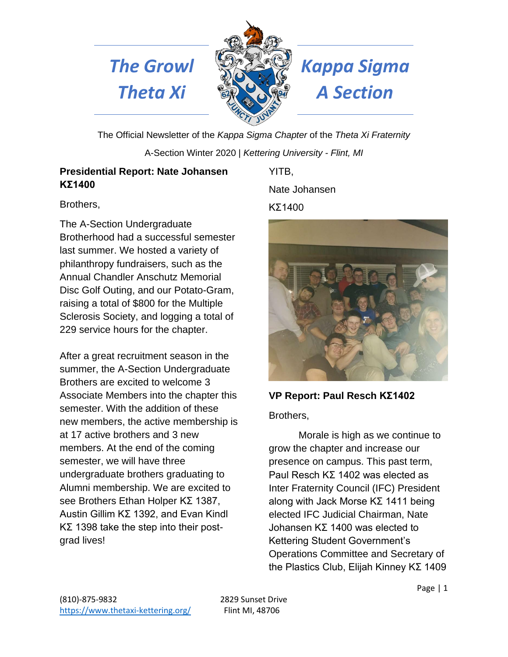



# *The Growl Kappa Sigma Theta Xi A Section*

The Official Newsletter of the *Kappa Sigma Chapter* of the *Theta Xi Fraternity*  A-Section Winter 2020 | *Kettering University - Flint, MI*

# **Presidential Report: Nate Johansen ΚΣ1400**

Brothers,

The A-Section Undergraduate Brotherhood had a successful semester last summer. We hosted a variety of philanthropy fundraisers, such as the Annual Chandler Anschutz Memorial Disc Golf Outing, and our Potato-Gram, raising a total of \$800 for the Multiple Sclerosis Society, and logging a total of 229 service hours for the chapter.

After a great recruitment season in the summer, the A-Section Undergraduate Brothers are excited to welcome 3 Associate Members into the chapter this semester. With the addition of these new members, the active membership is at 17 active brothers and 3 new members. At the end of the coming semester, we will have three undergraduate brothers graduating to Alumni membership. We are excited to see Brothers Ethan Holper ΚΣ 1387, Austin Gillim ΚΣ 1392, and Evan Kindl ΚΣ 1398 take the step into their postgrad lives!

YITB,

Nate Johansen

# ΚΣ1400



**VP Report: Paul Resch ΚΣ1402** Brothers,

Morale is high as we continue to grow the chapter and increase our presence on campus. This past term, Paul Resch KΣ 1402 was elected as Inter Fraternity Council (IFC) President along with Jack Morse KΣ 1411 being elected IFC Judicial Chairman, Nate Johansen KΣ 1400 was elected to Kettering Student Government's Operations Committee and Secretary of the Plastics Club, Elijah Kinney KΣ 1409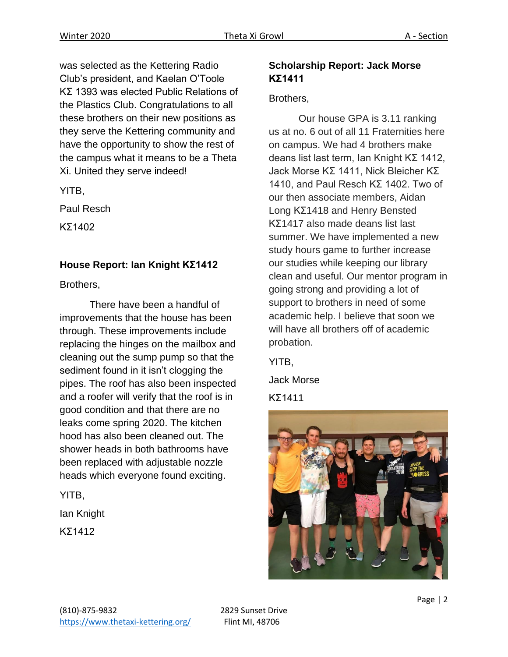was selected as the Kettering Radio Club's president, and Kaelan O'Toole KΣ 1393 was elected Public Relations of the Plastics Club. Congratulations to all these brothers on their new positions as they serve the Kettering community and have the opportunity to show the rest of the campus what it means to be a Theta Xi. United they serve indeed!

YITB,

Paul Resch

ΚΣ1402

## **House Report: Ian Knight ΚΣ1412**

Brothers,

There have been a handful of improvements that the house has been through. These improvements include replacing the hinges on the mailbox and cleaning out the sump pump so that the sediment found in it isn't clogging the pipes. The roof has also been inspected and a roofer will verify that the roof is in good condition and that there are no leaks come spring 2020. The kitchen hood has also been cleaned out. The shower heads in both bathrooms have been replaced with adjustable nozzle heads which everyone found exciting.

YITB,

Ian Knight

ΚΣ1412

## **Scholarship Report: Jack Morse ΚΣ1411**

#### Brothers,

Our house GPA is 3.11 ranking us at no. 6 out of all 11 Fraternities here on campus. We had 4 brothers make deans list last term, Ian Knight KΣ 1412, Jack Morse KΣ 1411, Nick Bleicher KΣ 1410, and Paul Resch KΣ 1402. Two of our then associate members, Aidan Long KΣ1418 and Henry Bensted KΣ1417 also made deans list last summer. We have implemented a new study hours game to further increase our studies while keeping our library clean and useful. Our mentor program in going strong and providing a lot of support to brothers in need of some academic help. I believe that soon we will have all brothers off of academic probation.

YITB,

Jack Morse

ΚΣ1411

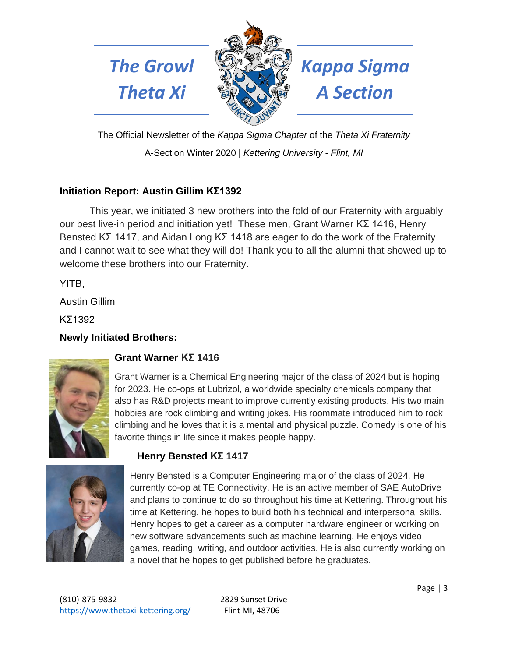



*The Growl Kappa Sigma* 

The Official Newsletter of the *Kappa Sigma Chapter* of the *Theta Xi Fraternity*  A-Section Winter 2020 | *Kettering University - Flint, MI*

# **Initiation Report: Austin Gillim ΚΣ1392**

This year, we initiated 3 new brothers into the fold of our Fraternity with arguably our best live-in period and initiation yet! These men, Grant Warner KΣ 1416, Henry Bensted KΣ 1417, and Aidan Long KΣ 1418 are eager to do the work of the Fraternity and I cannot wait to see what they will do! Thank you to all the alumni that showed up to welcome these brothers into our Fraternity.

YITB,

Austin Gillim

ΚΣ1392

## **Newly Initiated Brothers:**



## **Grant Warner KΣ 1416**

Grant Warner is a Chemical Engineering major of the class of 2024 but is hoping for 2023. He co-ops at Lubrizol, a worldwide specialty chemicals company that also has R&D projects meant to improve currently existing products. His two main hobbies are rock climbing and writing jokes. His roommate introduced him to rock climbing and he loves that it is a mental and physical puzzle. Comedy is one of his favorite things in life since it makes people happy.



# **Henry Bensted KΣ 1417**

Henry Bensted is a Computer Engineering major of the class of 2024. He currently co-op at TE Connectivity. He is an active member of SAE AutoDrive and plans to continue to do so throughout his time at Kettering. Throughout his time at Kettering, he hopes to build both his technical and interpersonal skills. Henry hopes to get a career as a computer hardware engineer or working on new software advancements such as machine learning. He enjoys video games, reading, writing, and outdoor activities. He is also currently working on a novel that he hopes to get published before he graduates.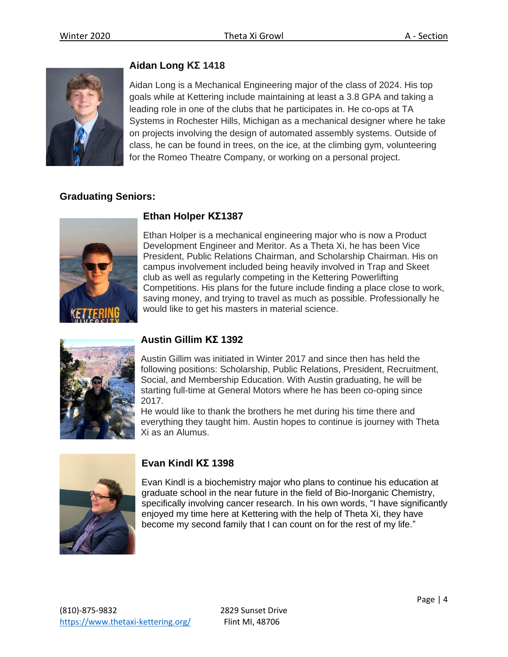

## **Aidan Long KΣ 1418**

Aidan Long is a Mechanical Engineering major of the class of 2024. His top goals while at Kettering include maintaining at least a 3.8 GPA and taking a leading role in one of the clubs that he participates in. He co-ops at TA Systems in Rochester Hills, Michigan as a mechanical designer where he take on projects involving the design of automated assembly systems. Outside of class, he can be found in trees, on the ice, at the climbing gym, volunteering for the Romeo Theatre Company, or working on a personal project.

## **Graduating Seniors:**



#### **Ethan Holper ΚΣ1387**

Ethan Holper is a mechanical engineering major who is now a Product Development Engineer and Meritor. As a Theta Xi, he has been Vice President, Public Relations Chairman, and Scholarship Chairman. His on campus involvement included being heavily involved in Trap and Skeet club as well as regularly competing in the Kettering Powerlifting Competitions. His plans for the future include finding a place close to work, saving money, and trying to travel as much as possible. Professionally he would like to get his masters in material science.



## **Austin Gillim ΚΣ 1392**

Austin Gillim was initiated in Winter 2017 and since then has held the following positions: Scholarship, Public Relations, President, Recruitment, Social, and Membership Education. With Austin graduating, he will be starting full-time at General Motors where he has been co-oping since 2017.

He would like to thank the brothers he met during his time there and everything they taught him. Austin hopes to continue is journey with Theta Xi as an Alumus.



## **Evan Kindl ΚΣ 1398**

Evan Kindl is a biochemistry major who plans to continue his education at graduate school in the near future in the field of Bio-Inorganic Chemistry, specifically involving cancer research. In his own words, "I have significantly enjoyed my time here at Kettering with the help of Theta Xi, they have become my second family that I can count on for the rest of my life."